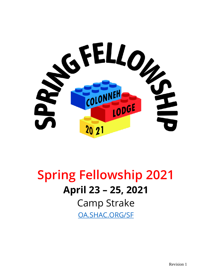

# **Spring Fellowship 2021 April 23 – 25, 2021** Camp Strake [OA.SHAC.ORG/SF](https://d.docs.live.net/3eb74f42d11f8a7f/BoyScouts/oa.shac.org/sf)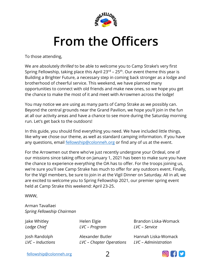

# **From the Officers**

<span id="page-1-0"></span>To those attending,

We are absolutely *thrilled* to be able to welcome you to Camp Strake's very first Spring Fellowship, taking place this April 23<sup>rd</sup> – 25<sup>th</sup>. Our event theme this year is Building a Brighter Future, a necessary step in coming back stronger as a lodge and brotherhood of cheerful service. This weekend, we have planned many opportunities to connect with old friends and make new ones, so we hope you get the chance to make the most of it and meet with Arrowmen across the lodge!

You may notice we are using as many parts of Camp Strake as we possibly can. Beyond the central grounds near the Grand Pavilion, we hope you'll join in the fun at all our activity areas and have a chance to see more during the Saturday morning run. Let's get back to the outdoors!

In this guide, you should find everything you need. We have included little things, like why we chose our theme, as well as standard camping information. If you have any questions, email **[fellowship@colonneh.org](mailto:fellowship@colonneh.org)** or find any of us at the event.

For the Arrowmen out there who've just recently undergone your Ordeal, one of our missions since taking office on January 1, 2021 has been to make sure you have the chance to experience everything the OA has to offer. For the troops joining us, we're sure you'll see Camp Strake has much to offer for any outdoors event. Finally, for the Vigil members, be sure to join in at the Vigil Dinner on Saturday. All in all, we are excited to welcome you to Spring Fellowship 2021, our premier spring event held at Camp Strake this weekend: April 23-25.

WWW,

Arman Tavallaei *Spring Fellowship Chairman*

Jake Whitley *Lodge Chief*

Josh Randolph *LVC – Inductions* Helen Elgie *LVC – Program*

Alexander Butler *LVC – Chapter Operations*

Brandon Liska-Womack *LVC – Service*

Hannah Liska-Womack *LVC – Administration*

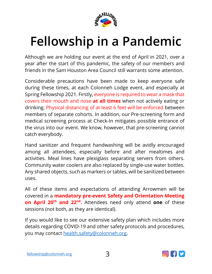

# <span id="page-2-0"></span>**Fellowship in a Pandemic**

Although we are holding our event at the end of April in 2021, over a year after the start of this pandemic, the safety of our members and friends in the Sam Houston Area Council still warrants some attention.

Considerable precautions have been made to keep everyone safe during these times, at each Colonneh Lodge event, and especially at Spring Fellowship 2021. Firstly, everyone is required to wear a mask that covers their mouth and nose **at all times** when not actively eating or drinking. Physical distancing of at least 6 feet will be enforced between members of separate cohorts. In addition, our Pre-screening form and medical screening process at Check-In mitigates possible entrance of the virus into our event. We know, however, that pre-screening cannot catch everybody.

Hand sanitizer and frequent handwashing will be avidly encouraged among all attendees, especially before and after mealtimes and activities. Meal lines have plexiglass separating servers from others. Community water coolers are also replaced by single-use water bottles. Any shared objects, such as markers or tables, will be sanitized between uses.

All of these items and expectations of attending Arrowmen will be covered in a **mandatory pre-event Safety and Orientation Meeting on April 20 th and 22nd .** Attendees need only attend **one** of these sessions (not both, as they are identical).

If you would like to see our extensive safety plan which includes more details regarding COVID-19 and other safety protocols and procedures, you may contact [health.safety@colonneh.org.](mailto:health.safety@colonneh.org)

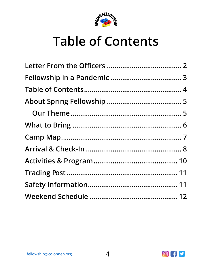

# <span id="page-3-0"></span>**Table of Contents**

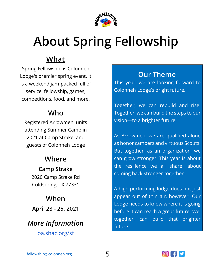

# <span id="page-4-0"></span>**About Spring Fellowship**

### **What**

Spring Fellowship is Colonneh Lodge's premier spring event. It is a weekend jam-packed full of service, fellowship, games, competitions, food, and more.

### **Who**

Registered Arrowmen, units attending Summer Camp in 2021 at Camp Strake, and guests of Colonneh Lodge

### **Where**

**Camp Strake** 2020 Camp Strake Rd Coldspring, TX 77331

# **When**

**April 23 - 25, 2021**

### *More Information* [oa.shac.org/sf](http://oa.shac.org/SF)

#### <span id="page-4-1"></span>**Our Theme**

This year, we are looking forward to Colonneh Lodge's bright future.

Together, we can rebuild and rise. Together, we can build the steps to our vision—to a brighter future.

As Arrowmen, we are qualified alone as honor campers and virtuous Scouts. But together, as an organization, we can grow stronger. This year is about the resilience we all share: about coming back stronger together.

A high performing lodge does not just appear out of thin air, however. Our Lodge needs to know where it is going before it can reach a great future. We, together, can build that brighter future.

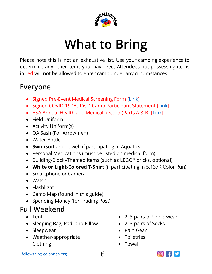

# **What to Bring**

<span id="page-5-0"></span>Please note this is not an exhaustive list. Use your camping experience to determine any other items you may need. Attendees not possessing items in red will not be allowed to enter camp under any circumstances.

#### **Everyone**

- Signed Pre-Event Medical Screening Form [\[Link\]](https://drive.google.com/file/d/1TePzoWHdCldDQA-eTh42YVlFDj2-faYP/view?usp=sharing)
- Signed COVID-19 "At-Risk" Camp Participant Statement [\[Link\]](https://drive.google.com/file/d/1DRgkBlR--zjmlJvzk1rQ1RRE8e_lIz5s/view?usp=sharing)
- BSA Annual Health and Medical Record (Parts A & B) [\[Link\]](https://filestore.scouting.org/filestore/HealthSafety/pdf/680-001_AB.pdf)
- Field Uniform
- Activity Uniform(s)
- OA Sash (For Arrowmen)
- Water Bottle
- **Swimsuit** and Towel (if participating in Aquatics)
- Personal Medications (must be listed on medical form)
- Building-Block–Themed Items (such as LEGO<sup>®</sup> bricks, optional)
- **White or Light-Colored T-Shirt** (if participating in 5.137K Color Run)
- Smartphone or Camera
- Watch
- Flashlight
- Camp Map (found in this guide)
- Spending Money (for Trading Post)

# **Full Weekend**

- Tent
- Sleeping Bag, Pad, and Pillow
- Sleepwear
- Weather-appropriate Clothing
- 2–3 pairs of Underwear
- 2–3 pairs of Socks
- Rain Gear
- Toiletries
- Towel

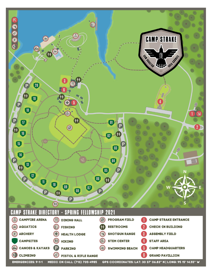<span id="page-6-0"></span>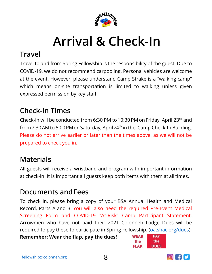

# **Arrival & Check-In**

#### <span id="page-7-0"></span>**Travel**

Travel to and from Spring Fellowship is the responsibility of the guest. Due to COVID-19, we do not recommend carpooling. Personal vehicles are welcome at the event. However, please understand Camp Strake is a "walking camp" which means on-site transportation is limited to walking unless given expressed permission by key staff.

### **Check-In Times**

Check-in will be conducted from 6:30 PM to 10:30 PM on Friday, April 23rd and from 7:30 AM to 5:00 PM on Saturday, April 24<sup>th</sup> in the Camp Check-In Building. Please do not arrive earlier or later than the times above, as we will not be prepared to check you in.

### **Materials**

All guests will receive a wristband and program with important information at check-in. It is important all guests keep both items with them at all times.

#### **Documents andFees**

To check in, please bring a copy of your BSA Annual Health and Medical Record, Parts A and B. You will also need the required Pre-Event Medical Screening Form and COVID-19 "At-Risk" Camp Participant Statement. Arrowmen who have not paid their 2021 Colonneh Lodge Dues will be required to pay these to participate in Spring Fellowship. [\(oa.shac.org/dues\)](https://oa.shac.org/dues)

**Remember: Wear the flap, pay the dues!**



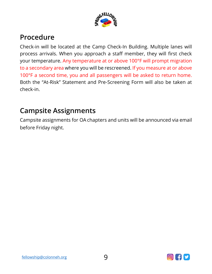

#### **Procedure**

Check-in will be located at the Camp Check-In Building. Multiple lanes will process arrivals. When you approach a staff member, they will first check your temperature. Any temperature at or above 100°F will prompt migration to a secondary area where you will be rescreened. If you measure at or above 100°F a second time, you and all passengers will be asked to return home. Both the "At-Risk" Statement and Pre-Screening Form will also be taken at check-in.

#### **Campsite Assignments**

Campsite assignments for OA chapters and units will be announced via email before Friday night.

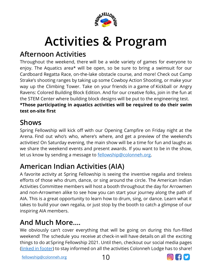

# **Activities & Program**

### <span id="page-9-0"></span>**Afternoon Activities**

Throughout the weekend, there will be a wide variety of games for everyone to enjoy. The Aquatics area\* will be open, so be sure to bring a swimsuit for our Cardboard Regatta Race, on-the-lake obstacle course, and more! Check out Camp Strake's shooting ranges by taking up some Cowboy Action Shooting, or make your way up the Climbing Tower. Take on your friends in a game of Kickball or Angry Ravens: Colored Building Block Edition. And for our creative folks, join in the fun at the STEM Center where building block designs will be put to the engineering test. **\*Those participating in aquatics activities will be required to do their swim test on-site first**

#### **Shows**

Spring Fellowship will kick off with our Opening Campfire on Friday night at the Arena. Find out who's who, where's where, and get a preview of the weekend's activities! On Saturday evening, the main show will be a time for fun and laughs as we share the weekend events and present awards. If you want to be in the show, let us know by sending a message to **fellowship@colonneh.org**.

### **American Indian Activities (AIA)**

A favorite activity at Spring Fellowship is seeing the inventive regalia and tireless efforts of those who drum, dance, or sing around the circle. The American Indian Activities Committee members will host a booth throughout the day for Arrowmen and non-Arrowmen alike to see how you can start your journey along the path of AIA. This is a great opportunity to learn how to drum, sing, or dance. Learn what it takes to build your own regalia, or just stop by the booth to catch a glimpse of our inspiring AIA members.

### **And Much More….**

We obviously can't cover everything that will be going on during this fun-filled weekend! The schedule you receive at check-in will have details on all the exciting things to do atSpring Fellowship 2021. Until then, checkout our social media pages [\(linked in footer\)](http://www.linktr.ee/oashac) to stay informed on all the activities Colonneh Lodge has to share!

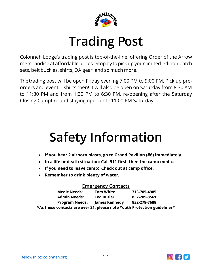

# **Trading Post**

<span id="page-10-0"></span>Colonneh Lodge's trading post is top-of-the-line, offering Order of the Arrow merchandise at affordable prices. Stop by to pick up your limited-edition patch sets, belt buckles, shirts, OA gear, and so much more.

Thetrading post will be open Friday evening 7:00 PM to 9:00 PM. Pick up preorders and event T-shirts then! It will also be open on Saturday from 8:30 AM to 11:30 PM and from 1:30 PM to 6:30 PM, re-opening after the Saturday Closing Campfire and staying open until 11:00 PM Saturday.

# <span id="page-10-1"></span>**Safety Information**

- **If you hear 2 airhorn blasts, go to Grand Pavilion (#6) immediately.**
- **In a life or death situation: Call 911 first, then the camp medic.**
- **If you need to leave camp: Check out at camp office.**
- **Remember to drink plenty of water.**

#### **Emergency Contacts**

| <b>Medic Needs:</b>                                                      | <b>Tom White</b>  | 713-705-4985 |
|--------------------------------------------------------------------------|-------------------|--------------|
| <b>Admin Needs:</b>                                                      | <b>Ted Butler</b> | 832-289-8561 |
| <b>Program Needs:</b>                                                    | James Kennedy     | 832-278-7688 |
| *As these contacts are over 21, please note Youth Protection guidelines* |                   |              |

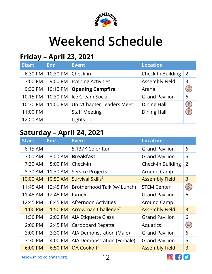

# **Weekend Schedule**

### <span id="page-11-0"></span>**Friday – April 23, 2021**

| <b>Start</b> | <b>End</b>            | <b>Event</b>                                    | <b>Location</b>       |                                                                                                                                                                                                                                                                                                                                                     |
|--------------|-----------------------|-------------------------------------------------|-----------------------|-----------------------------------------------------------------------------------------------------------------------------------------------------------------------------------------------------------------------------------------------------------------------------------------------------------------------------------------------------|
| 6:30 PM      | 10:30 PM $ $ Check-in |                                                 | Check-In Building     | $\overline{2}$                                                                                                                                                                                                                                                                                                                                      |
| 7:00 PM      |                       | 9:00 PM Evening Activities                      | <b>Assembly Field</b> | 3                                                                                                                                                                                                                                                                                                                                                   |
|              |                       | 9:30 PM   10:15 PM   Opening Campfire           | Arena                 | $\begin{picture}(42,10) \put(0,0){\line(1,0){10}} \put(15,0){\line(1,0){10}} \put(15,0){\line(1,0){10}} \put(15,0){\line(1,0){10}} \put(15,0){\line(1,0){10}} \put(15,0){\line(1,0){10}} \put(15,0){\line(1,0){10}} \put(15,0){\line(1,0){10}} \put(15,0){\line(1,0){10}} \put(15,0){\line(1,0){10}} \put(15,0){\line(1,0){10}} \put(15,0){\line(1$ |
| 10:15 PM     |                       | 10:30 PM   Ice Cream Social                     | <b>Grand Pavilion</b> | 6                                                                                                                                                                                                                                                                                                                                                   |
|              |                       | 10:30 PM   11:00 PM   Unit/Chapter Leaders Meet | <b>Dining Hall</b>    | H                                                                                                                                                                                                                                                                                                                                                   |
| 11:00 PM     |                       | <b>Staff Meeting</b>                            | <b>Dining Hall</b>    |                                                                                                                                                                                                                                                                                                                                                     |
| 12:00 AM     |                       | Lights-out                                      |                       |                                                                                                                                                                                                                                                                                                                                                     |

### **Saturday – April 24, 2021**

| <b>Start</b> | <b>End</b> | <b>Event</b>                    | <b>Location</b>       |                           |
|--------------|------------|---------------------------------|-----------------------|---------------------------|
| 6:15 AM      |            | 5.137K Color Run                | <b>Grand Pavilion</b> | 6                         |
| 7:00 AM      | 8:00 AM    | <b>Breakfast</b>                | <b>Grand Pavilion</b> | 6                         |
| 7:30 AM      | 5:00 PM    | Check-in                        | Check-In Building     | $\overline{2}$            |
| 8:30 AM      | 11:30 AM   | Service Projects                | Around Camp           |                           |
| 10:00 AM     | 10:50 AM   | Survival Skills <sup>†</sup>    | <b>Assembly Field</b> | 3                         |
| 11:45 AM     | 12:45 PM   | Brotherhood Talk (w/ Lunch)     | <b>STEM Center</b>    | $\bigotimes_{\mathbb{C}}$ |
| 11:45 AM     | 12:45 PM   | Lunch                           | <b>Grand Pavilion</b> | 6                         |
| 12:45 PM     | 6:45 PM    | <b>Afternoon Activities</b>     | Around Camp           |                           |
| 1:00 PM      | 1:50 PM    | Arrowman Challenge <sup>†</sup> | <b>Assembly Field</b> | 3                         |
| 1:30 PM      | 2:00 PM    | <b>AIA Etiquette Class</b>      | <b>Grand Pavilion</b> | 6                         |
| 2:00 PM      | 2:45 PM    | Cardboard Regatta               | Aquatics              | (20)                      |
| 3:00 PM      | 3:30 PM    | AIA Demonstration (Male)        | <b>Grand Pavilion</b> | 6                         |
| 3:30 PM      | 4:00 PM    | AIA Demonstration (Female)      | <b>Grand Pavilion</b> | 6                         |
| 6:00 PM      | 6:50 PM    | OA Cookoff <sup>t</sup>         | <b>Assembly Field</b> | 3                         |

[fellowship@colonneh.org](mailto:fellowship@colonneh.org) 12

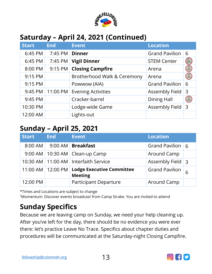

### **Saturday – April 24, 2021 (Continued)**

| <b>Start</b> | <b>End</b> | <b>Event</b>                | <b>Location</b>       |                                                                                                                                                                                                                                                                                                                                                     |
|--------------|------------|-----------------------------|-----------------------|-----------------------------------------------------------------------------------------------------------------------------------------------------------------------------------------------------------------------------------------------------------------------------------------------------------------------------------------------------|
| 6:45 PM      | 7:45 PM    | <b>Dinner</b>               | <b>Grand Pavilion</b> | 6                                                                                                                                                                                                                                                                                                                                                   |
| 6:45 PM      | 7:45 PM    | <b>Vigil Dinner</b>         | <b>STEM Center</b>    | 8 <sub>o</sub>                                                                                                                                                                                                                                                                                                                                      |
| 8:00 PM      | 9:15 PM    | <b>Closing Campfire</b>     | Arena                 | $\begin{picture}(42,10) \put(0,0){\line(1,0){10}} \put(15,0){\line(1,0){10}} \put(15,0){\line(1,0){10}} \put(15,0){\line(1,0){10}} \put(15,0){\line(1,0){10}} \put(15,0){\line(1,0){10}} \put(15,0){\line(1,0){10}} \put(15,0){\line(1,0){10}} \put(15,0){\line(1,0){10}} \put(15,0){\line(1,0){10}} \put(15,0){\line(1,0){10}} \put(15,0){\line(1$ |
| 9:15 PM      |            | Brotherhood Walk & Ceremony | Arena                 | $\begin{picture}(22,20) \put(0,0){\line(1,0){10}} \put(15,0){\line(1,0){10}} \put(15,0){\line(1,0){10}} \put(15,0){\line(1,0){10}} \put(15,0){\line(1,0){10}} \put(15,0){\line(1,0){10}} \put(15,0){\line(1,0){10}} \put(15,0){\line(1,0){10}} \put(15,0){\line(1,0){10}} \put(15,0){\line(1,0){10}} \put(15,0){\line(1,0){10}} \put(15,0){\line(1$ |
| 9:15 PM      |            | Powwow (AIA)                | <b>Grand Pavilion</b> | 6                                                                                                                                                                                                                                                                                                                                                   |
| 9:45 PM      | 11:00 PM   | <b>Evening Activities</b>   | <b>Assembly Field</b> | 3                                                                                                                                                                                                                                                                                                                                                   |
| 9:45 PM      |            | Cracker-barrel              | <b>Dining Hall</b>    | $(\widehat{\mathbb{R}})$                                                                                                                                                                                                                                                                                                                            |
| 10:30 PM     |            | Lodge-wide Game             | Assembly Field        | $\overline{3}$                                                                                                                                                                                                                                                                                                                                      |
| 12:00 AM     |            | Lights-out                  |                       |                                                                                                                                                                                                                                                                                                                                                     |

#### **Sunday – April 25, 2021**

| <b>Start</b> | <b>End</b>         | <b>Event</b>                                       | <b>Location</b>       |   |
|--------------|--------------------|----------------------------------------------------|-----------------------|---|
| 8:00 AM      |                    | 9:00 AM   Breakfast                                | Grand Pavilion $ 6$   |   |
|              |                    | $9:00$ AM   10:30 AM   Clean-up Camp               | Around Camp           |   |
|              |                    | 10:30 AM   11:00 AM   Interfaith Service           | Assembly Field 3      |   |
| 11:00 AM     | $12:00 \text{ PM}$ | <b>Lodge Executive Committee</b><br><b>Meeting</b> | <b>Grand Pavilion</b> | 6 |
| 12:00 PM     |                    | <b>Participant Departure</b>                       | <b>Around Camp</b>    |   |

\*Times and Locations are subject to change

†Momentum: Discover events broadcast from Camp Strake. You are invited to attend

# **Sunday Specifics**

Because we are leaving camp on Sunday, we need your help cleaning up. After you've left for the day, there should be no evidence you were ever there: let's practice Leave No Trace. Specifics about chapter duties and procedures will be communicated at the Saturday-night Closing Campfire.

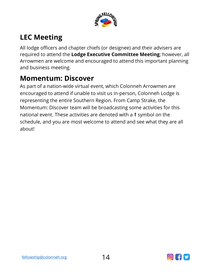

## **LEC Meeting**

All lodge officers and chapter chiefs (or designee) and their advisers are required to attend the **Lodge Executive Committee Meeting**; however, all Arrowmen are welcome and encouraged to attend this important planning and business meeting.

### **Momentum: Discover**

As part of a nation-wide virtual event, which Colonneh Arrowmen are encouraged to attend if unable to visit us in-person, Colonneh Lodge is representing the entire Southern Region. From Camp Strake, the Momentum: Discover team will be broadcasting some activities for this national event. These activities are denoted with a **†** symbol on the schedule, and you are most welcome to attend and see what they are all about!